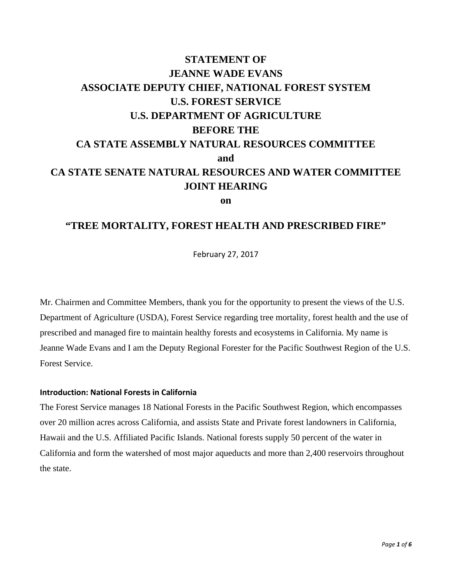# **STATEMENT OF JEANNE WADE EVANS ASSOCIATE DEPUTY CHIEF, NATIONAL FOREST SYSTEM U.S. FOREST SERVICE U.S. DEPARTMENT OF AGRICULTURE BEFORE THE CA STATE ASSEMBLY NATURAL RESOURCES COMMITTEE and CA STATE SENATE NATURAL RESOURCES AND WATER COMMITTEE JOINT HEARING**

**on**

# **"TREE MORTALITY, FOREST HEALTH AND PRESCRIBED FIRE"**

February 27, 2017

Mr. Chairmen and Committee Members, thank you for the opportunity to present the views of the U.S. Department of Agriculture (USDA), Forest Service regarding tree mortality, forest health and the use of prescribed and managed fire to maintain healthy forests and ecosystems in California. My name is Jeanne Wade Evans and I am the Deputy Regional Forester for the Pacific Southwest Region of the U.S. Forest Service.

# **Introduction: National Forests in California**

The Forest Service manages 18 National Forests in the Pacific Southwest Region, which encompasses over 20 million acres across California, and assists State and Private forest landowners in California, Hawaii and the U.S. Affiliated Pacific Islands. National forests supply 50 percent of the water in California and form the watershed of most major aqueducts and more than 2,400 reservoirs throughout the state.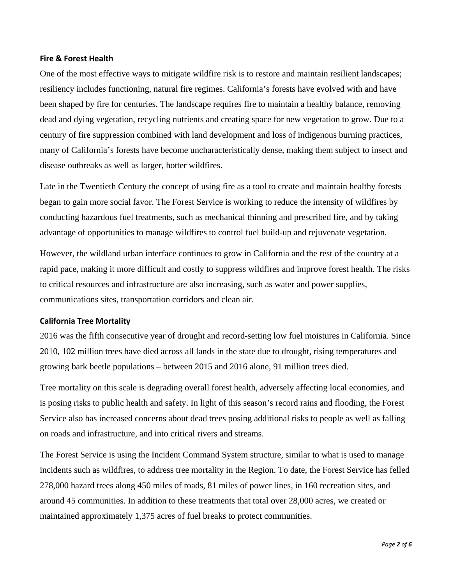### **Fire & Forest Health**

One of the most effective ways to mitigate wildfire risk is to restore and maintain resilient landscapes; resiliency includes functioning, natural fire regimes. California's forests have evolved with and have been shaped by fire for centuries. The landscape requires fire to maintain a healthy balance, removing dead and dying vegetation, recycling nutrients and creating space for new vegetation to grow. Due to a century of fire suppression combined with land development and loss of indigenous burning practices, many of California's forests have become uncharacteristically dense, making them subject to insect and disease outbreaks as well as larger, hotter wildfires.

Late in the Twentieth Century the concept of using fire as a tool to create and maintain healthy forests began to gain more social favor. The Forest Service is working to reduce the intensity of wildfires by conducting hazardous fuel treatments, such as mechanical thinning and prescribed fire, and by taking advantage of opportunities to manage wildfires to control fuel build-up and rejuvenate vegetation.

However, the wildland urban interface continues to grow in California and the rest of the country at a rapid pace, making it more difficult and costly to suppress wildfires and improve forest health. The risks to critical resources and infrastructure are also increasing, such as water and power supplies, communications sites, transportation corridors and clean air.

# **California Tree Mortality**

2016 was the fifth consecutive year of drought and record-setting low fuel moistures in California. Since 2010, 102 million trees have died across all lands in the state due to drought, rising temperatures and growing bark beetle populations – between 2015 and 2016 alone, 91 million trees died.

Tree mortality on this scale is degrading overall forest health, adversely affecting local economies, and is posing risks to public health and safety. In light of this season's record rains and flooding, the Forest Service also has increased concerns about dead trees posing additional risks to people as well as falling on roads and infrastructure, and into critical rivers and streams.

The Forest Service is using the Incident Command System structure, similar to what is used to manage incidents such as wildfires, to address tree mortality in the Region. To date, the Forest Service has felled 278,000 hazard trees along 450 miles of roads, 81 miles of power lines, in 160 recreation sites, and around 45 communities. In addition to these treatments that total over 28,000 acres, we created or maintained approximately 1,375 acres of fuel breaks to protect communities.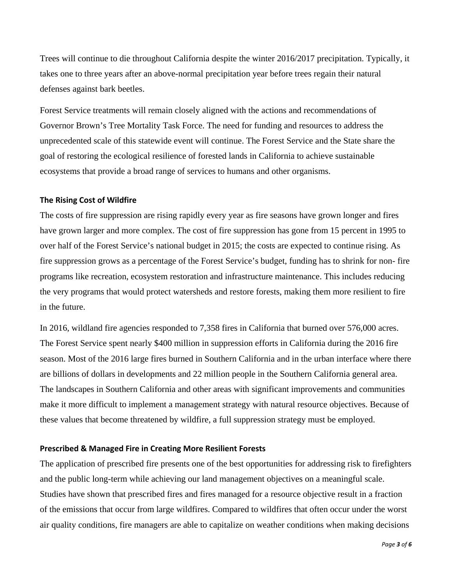Trees will continue to die throughout California despite the winter 2016/2017 precipitation. Typically, it takes one to three years after an above-normal precipitation year before trees regain their natural defenses against bark beetles.

Forest Service treatments will remain closely aligned with the actions and recommendations of Governor Brown's Tree Mortality Task Force. The need for funding and resources to address the unprecedented scale of this statewide event will continue. The Forest Service and the State share the goal of restoring the ecological resilience of forested lands in California to achieve sustainable ecosystems that provide a broad range of services to humans and other organisms.

#### **The Rising Cost of Wildfire**

The costs of fire suppression are rising rapidly every year as fire seasons have grown longer and fires have grown larger and more complex. The cost of fire suppression has gone from 15 percent in 1995 to over half of the Forest Service's national budget in 2015; the costs are expected to continue rising. As fire suppression grows as a percentage of the Forest Service's budget, funding has to shrink for non- fire programs like recreation, ecosystem restoration and infrastructure maintenance. This includes reducing the very programs that would protect watersheds and restore forests, making them more resilient to fire in the future.

In 2016, wildland fire agencies responded to 7,358 fires in California that burned over 576,000 acres. The Forest Service spent nearly \$400 million in suppression efforts in California during the 2016 fire season. Most of the 2016 large fires burned in Southern California and in the urban interface where there are billions of dollars in developments and 22 million people in the Southern California general area. The landscapes in Southern California and other areas with significant improvements and communities make it more difficult to implement a management strategy with natural resource objectives. Because of these values that become threatened by wildfire, a full suppression strategy must be employed.

#### **Prescribed & Managed Fire in Creating More Resilient Forests**

The application of prescribed fire presents one of the best opportunities for addressing risk to firefighters and the public long-term while achieving our land management objectives on a meaningful scale. Studies have shown that prescribed fires and fires managed for a resource objective result in a fraction of the emissions that occur from large wildfires. Compared to wildfires that often occur under the worst air quality conditions, fire managers are able to capitalize on weather conditions when making decisions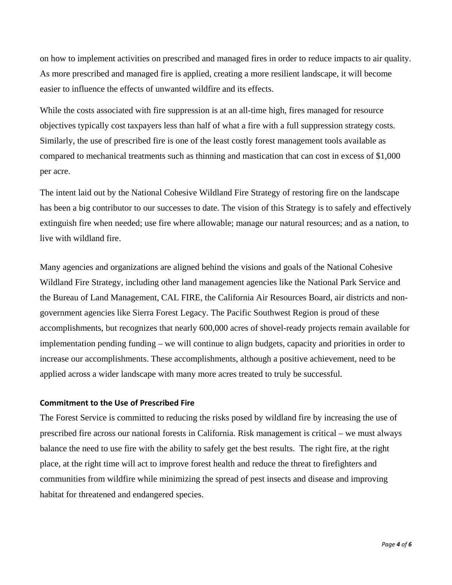on how to implement activities on prescribed and managed fires in order to reduce impacts to air quality. As more prescribed and managed fire is applied, creating a more resilient landscape, it will become easier to influence the effects of unwanted wildfire and its effects.

While the costs associated with fire suppression is at an all-time high, fires managed for resource objectives typically cost taxpayers less than half of what a fire with a full suppression strategy costs. Similarly, the use of prescribed fire is one of the least costly forest management tools available as compared to mechanical treatments such as thinning and mastication that can cost in excess of \$1,000 per acre.

The intent laid out by the National Cohesive Wildland Fire Strategy of restoring fire on the landscape has been a big contributor to our successes to date. The vision of this Strategy is to safely and effectively extinguish fire when needed; use fire where allowable; manage our natural resources; and as a nation, to live with wildland fire.

Many agencies and organizations are aligned behind the visions and goals of the National Cohesive Wildland Fire Strategy, including other land management agencies like the National Park Service and the Bureau of Land Management, CAL FIRE, the California Air Resources Board, air districts and nongovernment agencies like Sierra Forest Legacy. The Pacific Southwest Region is proud of these accomplishments, but recognizes that nearly 600,000 acres of shovel-ready projects remain available for implementation pending funding – we will continue to align budgets, capacity and priorities in order to increase our accomplishments. These accomplishments, although a positive achievement, need to be applied across a wider landscape with many more acres treated to truly be successful.

# **Commitment to the Use of Prescribed Fire**

The Forest Service is committed to reducing the risks posed by wildland fire by increasing the use of prescribed fire across our national forests in California. Risk management is critical – we must always balance the need to use fire with the ability to safely get the best results. The right fire, at the right place, at the right time will act to improve forest health and reduce the threat to firefighters and communities from wildfire while minimizing the spread of pest insects and disease and improving habitat for threatened and endangered species.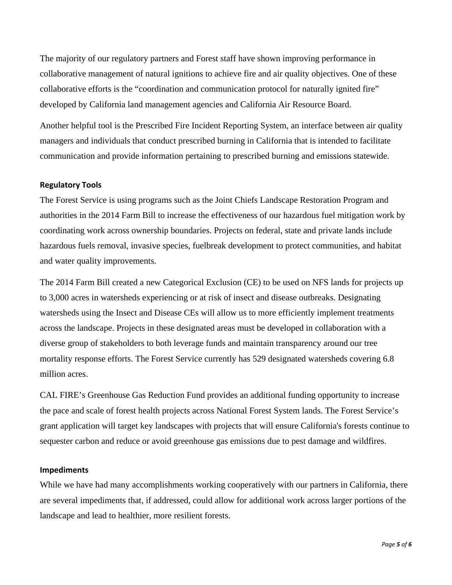The majority of our regulatory partners and Forest staff have shown improving performance in collaborative management of natural ignitions to achieve fire and air quality objectives. One of these collaborative efforts is the "coordination and communication protocol for naturally ignited fire" developed by California land management agencies and California Air Resource Board.

Another helpful tool is the Prescribed Fire Incident Reporting System, an interface between air quality managers and individuals that conduct prescribed burning in California that is intended to facilitate communication and provide information pertaining to prescribed burning and emissions statewide.

#### **Regulatory Tools**

The Forest Service is using programs such as the Joint Chiefs Landscape Restoration Program and authorities in the 2014 Farm Bill to increase the effectiveness of our hazardous fuel mitigation work by coordinating work across ownership boundaries. Projects on federal, state and private lands include hazardous fuels removal, invasive species, fuelbreak development to protect communities, and habitat and water quality improvements.

The 2014 Farm Bill created a new Categorical Exclusion (CE) to be used on NFS lands for projects up to 3,000 acres in watersheds experiencing or at risk of insect and disease outbreaks. Designating watersheds using the Insect and Disease CEs will allow us to more efficiently implement treatments across the landscape. Projects in these designated areas must be developed in collaboration with a diverse group of stakeholders to both leverage funds and maintain transparency around our tree mortality response efforts. The Forest Service currently has 529 designated watersheds covering 6.8 million acres.

CAL FIRE's Greenhouse Gas Reduction Fund provides an additional funding opportunity to increase the pace and scale of forest health projects across National Forest System lands. The Forest Service's grant application will target key landscapes with projects that will ensure California's forests continue to sequester carbon and reduce or avoid greenhouse gas emissions due to pest damage and wildfires.

#### **Impediments**

While we have had many accomplishments working cooperatively with our partners in California, there are several impediments that, if addressed, could allow for additional work across larger portions of the landscape and lead to healthier, more resilient forests.